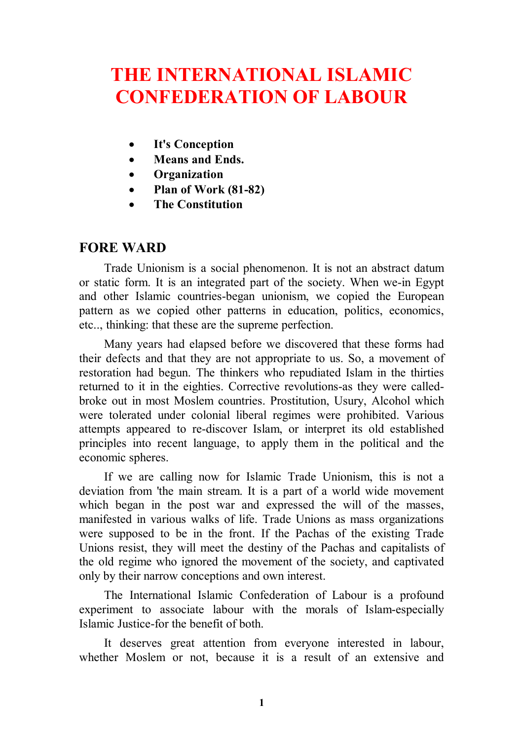# **THE INTERNATIONAL ISLAMIC CONFEDERATION OF LABOUR**

- **It's Conception**
- **Means and Ends.**
- **Organization**
- **Plan of Work (81-82)**
- **The Constitution**

### **FORE WARD**

Trade Unionism is a social phenomenon. It is not an abstract datum or static form. It is an integrated part of the society. When we-in Egypt and other Islamic countries-began unionism, we copied the European pattern as we copied other patterns in education, politics, economics, etc.., thinking: that these are the supreme perfection.

Many years had elapsed before we discovered that these forms had their defects and that they are not appropriate to us. So, a movement of restoration had begun. The thinkers who repudiated Islam in the thirties returned to it in the eighties. Corrective revolutions-as they were calledbroke out in most Moslem countries. Prostitution, Usury, Alcohol which were tolerated under colonial liberal regimes were prohibited. Various attempts appeared to re-discover Islam, or interpret its old established principles into recent language, to apply them in the political and the economic spheres.

If we are calling now for Islamic Trade Unionism, this is not a deviation from 'the main stream. It is a part of a world wide movement which began in the post war and expressed the will of the masses, manifested in various walks of life. Trade Unions as mass organizations were supposed to be in the front. If the Pachas of the existing Trade Unions resist, they will meet the destiny of the Pachas and capitalists of the old regime who ignored the movement of the society, and captivated only by their narrow conceptions and own interest.

The International Islamic Confederation of Labour is a profound experiment to associate labour with the morals of Islam-especially Islamic Justice-for the benefit of both.

It deserves great attention from everyone interested in labour, whether Moslem or not, because it is a result of an extensive and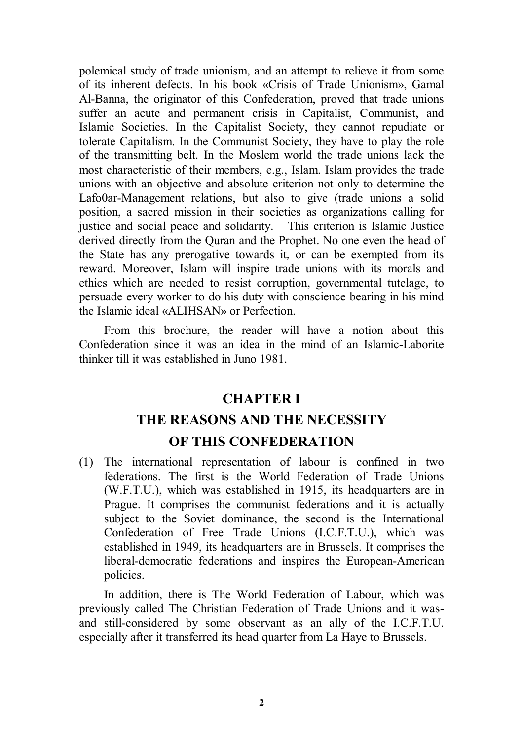polemical study of trade unionism, and an attempt to relieve it from some of its inherent defects. In his book «Crisis of Trade Unionism», Gamal Al-Banna, the originator of this Confederation, proved that trade unions suffer an acute and permanent crisis in Capitalist, Communist, and Islamic Societies. In the Capitalist Society, they cannot repudiate or tolerate Capitalism. In the Communist Society, they have to play the role of the transmitting belt. In the Moslem world the trade unions lack the most characteristic of their members, e.g., Islam. Islam provides the trade unions with an objective and absolute criterion not only to determine the Lafo0ar-Management relations, but also to give (trade unions a solid position, a sacred mission in their societies as organizations calling for justice and social peace and solidarity. This criterion is Islamic Justice derived directly from the Quran and the Prophet. No one even the head of the State has any prerogative towards it, or can be exempted from its reward. Moreover, Islam will inspire trade unions with its morals and ethics which are needed to resist corruption, governmental tutelage, to persuade every worker to do his duty with conscience bearing in his mind the Islamic ideal «ALIHSAN» or Perfection.

From this brochure, the reader will have a notion about this Confederation since it was an idea in the mind of an Islamic-Laborite thinker till it was established in Juno 1981.

# **CHAPTER I THE REASONS AND THE NECESSITY OF THIS CONFEDERATION**

(1) The international representation of labour is confined in two federations. The first is the World Federation of Trade Unions (W.F.T.U.), which was established in 1915, its headquarters are in Prague. It comprises the communist federations and it is actually subject to the Soviet dominance, the second is the International Confederation of Free Trade Unions (I.C.F.T.U.), which was established in 1949, its headquarters are in Brussels. It comprises the liberal-democratic federations and inspires the European-American policies.

In addition, there is The World Federation of Labour, which was previously called The Christian Federation of Trade Unions and it wasand still-considered by some observant as an ally of the I.C.F.T.U. especially after it transferred its head quarter from La Haye to Brussels.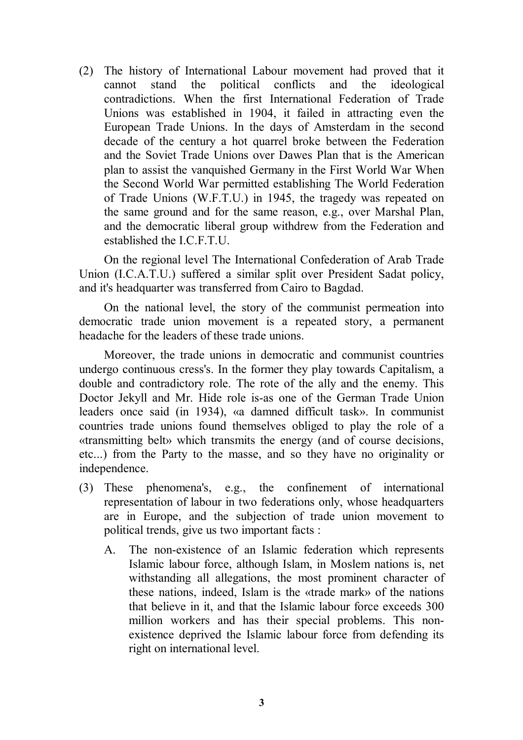(2) The history of International Labour movement had proved that it cannot stand the political conflicts and the ideological contradictions. When the first International Federation of Trade Unions was established in 1904, it failed in attracting even the European Trade Unions. In the days of Amsterdam in the second decade of the century a hot quarrel broke between the Federation and the Soviet Trade Unions over Dawes Plan that is the American plan to assist the vanquished Germany in the First World War When the Second World War permitted establishing The World Federation of Trade Unions (W.F.T.U.) in 1945, the tragedy was repeated on the same ground and for the same reason, e.g., over Marshal Plan, and the democratic liberal group withdrew from the Federation and established the I.C.F.T.U.

On the regional level The International Confederation of Arab Trade Union (I.C.A.T.U.) suffered a similar split over President Sadat policy, and it's headquarter was transferred from Cairo to Bagdad.

On the national level, the story of the communist permeation into democratic trade union movement is a repeated story, a permanent headache for the leaders of these trade unions.

Moreover, the trade unions in democratic and communist countries undergo continuous cress's. In the former they play towards Capitalism, a double and contradictory role. The rote of the ally and the enemy. This Doctor Jekyll and Mr. Hide role is-as one of the German Trade Union leaders once said (in 1934), «a damned difficult task». In communist countries trade unions found themselves obliged to play the role of a «transmitting belt» which transmits the energy (and of course decisions, etc...) from the Party to the masse, and so they have no originality or independence.

- (3) These phenomena's, e.g., the confinement of international representation of labour in two federations only, whose headquarters are in Europe, and the subjection of trade union movement to political trends, give us two important facts :
	- A. The non-existence of an Islamic federation which represents Islamic labour force, although Islam, in Moslem nations is, net withstanding all allegations, the most prominent character of these nations, indeed, Islam is the «trade mark» of the nations that believe in it, and that the Islamic labour force exceeds 300 million workers and has their special problems. This nonexistence deprived the Islamic labour force from defending its right on international level.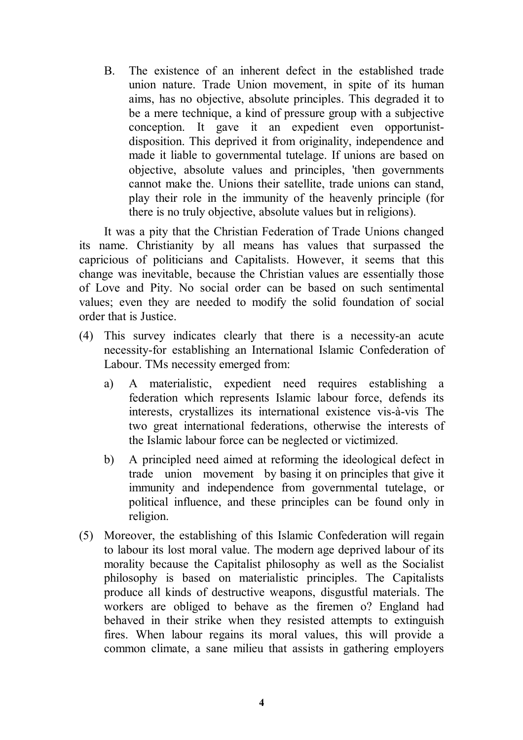B. The existence of an inherent defect in the established trade union nature. Trade Union movement, in spite of its human aims, has no objective, absolute principles. This degraded it to be a mere technique, a kind of pressure group with a subjective conception. It gave it an expedient even opportunistdisposition. This deprived it from originality, independence and made it liable to governmental tutelage. If unions are based on objective, absolute values and principles, 'then governments cannot make the. Unions their satellite, trade unions can stand, play their role in the immunity of the heavenly principle (for there is no truly objective, absolute values but in religions).

It was a pity that the Christian Federation of Trade Unions changed its name. Christianity by all means has values that surpassed the capricious of politicians and Capitalists. However, it seems that this change was inevitable, because the Christian values are essentially those of Love and Pity. No social order can be based on such sentimental values; even they are needed to modify the solid foundation of social order that is Justice.

- (4) This survey indicates clearly that there is a necessity-an acute necessity-for establishing an International Islamic Confederation of Labour. TMs necessity emerged from:
	- a) A materialistic, expedient need requires establishing a federation which represents Islamic labour force, defends its interests, crystallizes its international existence vis-à-vis The two great international federations, otherwise the interests of the Islamic labour force can be neglected or victimized.
	- b) A principled need aimed at reforming the ideological defect in trade union movement by basing it on principles that give it immunity and independence from governmental tutelage, or political influence, and these principles can be found only in religion.
- (5) Moreover, the establishing of this Islamic Confederation will regain to labour its lost moral value. The modern age deprived labour of its morality because the Capitalist philosophy as well as the Socialist philosophy is based on materialistic principles. The Capitalists produce all kinds of destructive weapons, disgustful materials. The workers are obliged to behave as the firemen o? England had behaved in their strike when they resisted attempts to extinguish fires. When labour regains its moral values, this will provide a common climate, a sane milieu that assists in gathering employers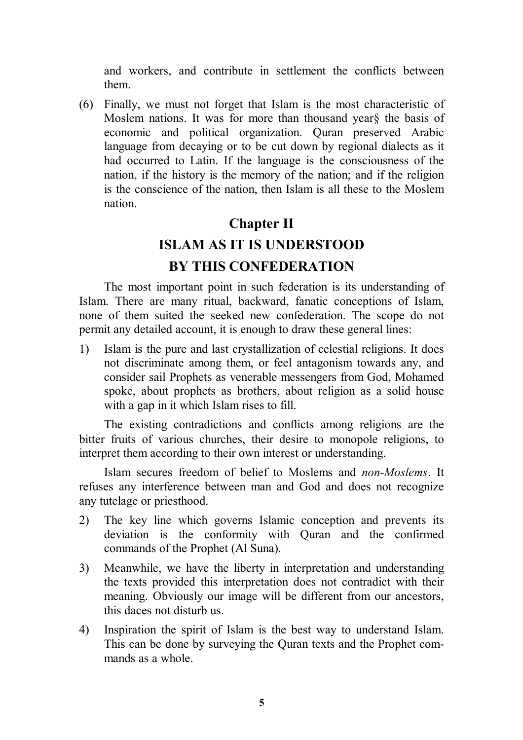and workers, and contribute in settlement the conflicts between them.

(6) Finally, we must not forget that Islam is the most characteristic of Moslem nations. It was for more than thousand year§ the basis of economic and political organization. Quran preserved Arabic language from decaying or to be cut down by regional dialects as it had occurred to Latin. If the language is the consciousness of the nation, if the history is the memory of the nation; and if the religion is the conscience of the nation, then Islam is all these to the Moslem nation.

# **Chapter II ISLAM AS IT IS UNDERSTOOD BY THIS CONFEDERATION**

The most important point in such federation is its understanding of Islam. There are many ritual, backward, fanatic conceptions of Islam, none of them suited the seeked new confederation. The scope do not permit any detailed account, it is enough to draw these general lines:

1) Islam is the pure and last crystallization of celestial religions. It does not discriminate among them, or feel antagonism towards any, and consider sail Prophets as venerable messengers from God, Mohamed spoke, about prophets as brothers, about religion as a solid house with a gap in it which Islam rises to fill.

The existing contradictions and conflicts among religions are the bitter fruits of various churches, their desire to monopole religions, to interpret them according to their own interest or understanding.

Islam secures freedom of belief to Moslems and *non-Moslems*. It refuses any interference between man and God and does not recognize any tutelage or priesthood.

- 2) The key line which governs Islamic conception and prevents its deviation is the conformity with Quran and the confirmed commands of the Prophet (Al Suna).
- 3) Meanwhile, we have the liberty in interpretation and understanding the texts provided this interpretation does not contradict with their meaning. Obviously our image will be different from our ancestors, this daces not disturb us.
- 4) Inspiration the spirit of Islam is the best way to understand Islam. This can be done by surveying the Quran texts and the Prophet commands as a whole.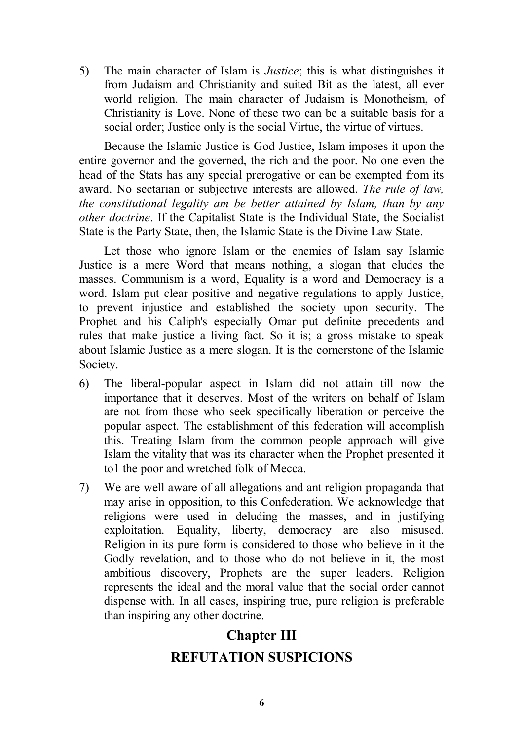5) The main character of Islam is *Justice*; this is what distinguishes it from Judaism and Christianity and suited Bit as the latest, all ever world religion. The main character of Judaism is Monotheism, of Christianity is Love. None of these two can be a suitable basis for a social order; Justice only is the social Virtue, the virtue of virtues.

Because the Islamic Justice is God Justice, Islam imposes it upon the entire governor and the governed, the rich and the poor. No one even the head of the Stats has any special prerogative or can be exempted from its award. No sectarian or subjective interests are allowed. *The rule of law, the constitutional legality am be better attained by Islam, than by any other doctrine*. If the Capitalist State is the Individual State, the Socialist State is the Party State, then, the Islamic State is the Divine Law State.

Let those who ignore Islam or the enemies of Islam say Islamic Justice is a mere Word that means nothing, a slogan that eludes the masses. Communism is a word, Equality is a word and Democracy is a word. Islam put clear positive and negative regulations to apply Justice, to prevent injustice and established the society upon security. The Prophet and his Caliph's especially Omar put definite precedents and rules that make justice a living fact. So it is; a gross mistake to speak about Islamic Justice as a mere slogan. It is the cornerstone of the Islamic Society.

- 6) The liberal-popular aspect in Islam did not attain till now the importance that it deserves. Most of the writers on behalf of Islam are not from those who seek specifically liberation or perceive the popular aspect. The establishment of this federation will accomplish this. Treating Islam from the common people approach will give Islam the vitality that was its character when the Prophet presented it to1 the poor and wretched folk of Mecca.
- 7) We are well aware of all allegations and ant religion propaganda that may arise in opposition, to this Confederation. We acknowledge that religions were used in deluding the masses, and in justifying exploitation. Equality, liberty, democracy are also misused. Religion in its pure form is considered to those who believe in it the Godly revelation, and to those who do not believe in it, the most ambitious discovery, Prophets are the super leaders. Religion represents the ideal and the moral value that the social order cannot dispense with. In all cases, inspiring true, pure religion is preferable than inspiring any other doctrine.

# **Chapter III REFUTATION SUSPICIONS**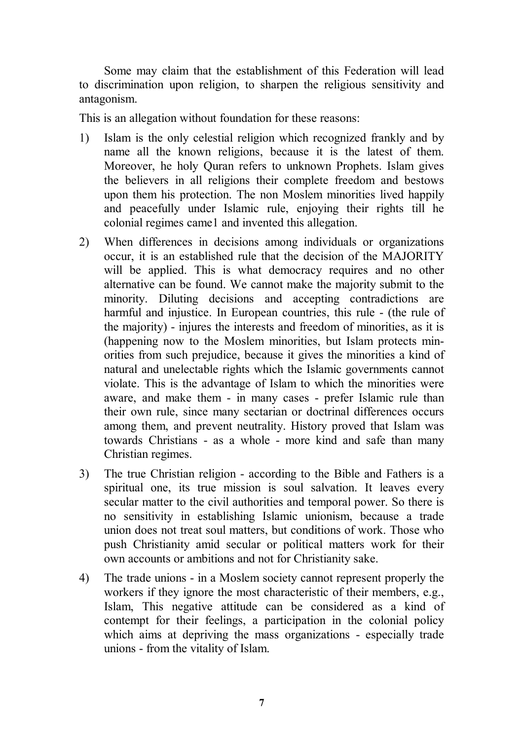Some may claim that the establishment of this Federation will lead to discrimination upon religion, to sharpen the religious sensitivity and antagonism.

This is an allegation without foundation for these reasons:

- 1) Islam is the only celestial religion which recognized frankly and by name all the known religions, because it is the latest of them. Moreover, he holy Quran refers to unknown Prophets. Islam gives the believers in all religions their complete freedom and bestows upon them his protection. The non Moslem minorities lived happily and peacefully under Islamic rule, enjoying their rights till he colonial regimes came1 and invented this allegation.
- 2) When differences in decisions among individuals or organizations occur, it is an established rule that the decision of the MAJORITY will be applied. This is what democracy requires and no other alternative can be found. We cannot make the majority submit to the minority. Diluting decisions and accepting contradictions are harmful and injustice. In European countries, this rule - (the rule of the majority) - injures the interests and freedom of minorities, as it is (happening now to the Moslem minorities, but Islam protects minorities from such prejudice, because it gives the minorities a kind of natural and unelectable rights which the Islamic governments cannot violate. This is the advantage of Islam to which the minorities were aware, and make them - in many cases - prefer Islamic rule than their own rule, since many sectarian or doctrinal differences occurs among them, and prevent neutrality. History proved that Islam was towards Christians - as a whole - more kind and safe than many Christian regimes.
- 3) The true Christian religion according to the Bible and Fathers is a spiritual one, its true mission is soul salvation. It leaves every secular matter to the civil authorities and temporal power. So there is no sensitivity in establishing Islamic unionism, because a trade union does not treat soul matters, but conditions of work. Those who push Christianity amid secular or political matters work for their own accounts or ambitions and not for Christianity sake.
- 4) The trade unions in a Moslem society cannot represent properly the workers if they ignore the most characteristic of their members, e.g., Islam, This negative attitude can be considered as a kind of contempt for their feelings, a participation in the colonial policy which aims at depriving the mass organizations - especially trade unions - from the vitality of Islam.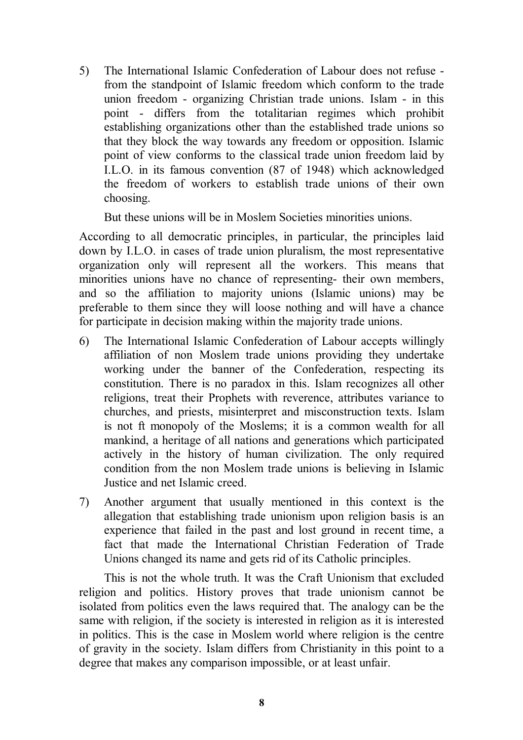5) The International Islamic Confederation of Labour does not refuse from the standpoint of Islamic freedom which conform to the trade union freedom - organizing Christian trade unions. Islam - in this point - differs from the totalitarian regimes which prohibit establishing organizations other than the established trade unions so that they block the way towards any freedom or opposition. Islamic point of view conforms to the classical trade union freedom laid by I.L.O. in its famous convention (87 of 1948) which acknowledged the freedom of workers to establish trade unions of their own choosing.

But these unions will be in Moslem Societies minorities unions.

According to all democratic principles, in particular, the principles laid down by I.L.O. in cases of trade union pluralism, the most representative organization only will represent all the workers. This means that minorities unions have no chance of representing- their own members, and so the affiliation to majority unions (Islamic unions) may be preferable to them since they will loose nothing and will have a chance for participate in decision making within the majority trade unions.

- 6) The International Islamic Confederation of Labour accepts willingly affiliation of non Moslem trade unions providing they undertake working under the banner of the Confederation, respecting its constitution. There is no paradox in this. Islam recognizes all other religions, treat their Prophets with reverence, attributes variance to churches, and priests, misinterpret and misconstruction texts. Islam is not ft monopoly of the Moslems; it is a common wealth for all mankind, a heritage of all nations and generations which participated actively in the history of human civilization. The only required condition from the non Moslem trade unions is believing in Islamic Justice and net Islamic creed.
- 7) Another argument that usually mentioned in this context is the allegation that establishing trade unionism upon religion basis is an experience that failed in the past and lost ground in recent time, a fact that made the International Christian Federation of Trade Unions changed its name and gets rid of its Catholic principles.

This is not the whole truth. It was the Craft Unionism that excluded religion and politics. History proves that trade unionism cannot be isolated from politics even the laws required that. The analogy can be the same with religion, if the society is interested in religion as it is interested in politics. This is the case in Moslem world where religion is the centre of gravity in the society. Islam differs from Christianity in this point to a degree that makes any comparison impossible, or at least unfair.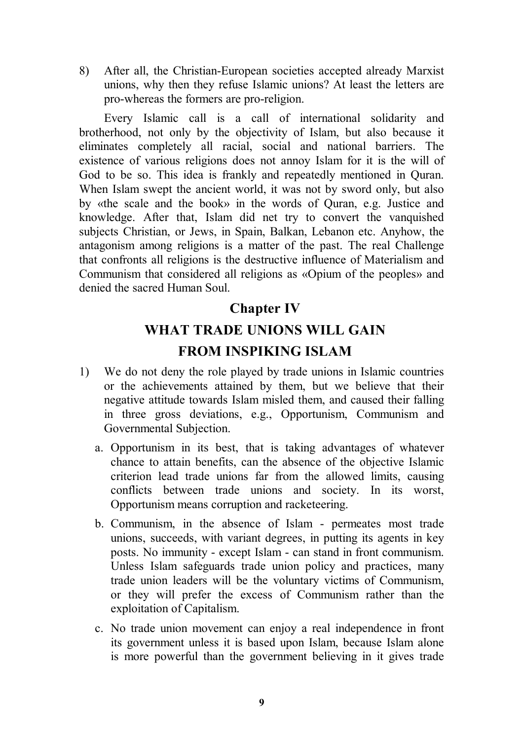8) After all, the Christian-European societies accepted already Marxist unions, why then they refuse Islamic unions? At least the letters are pro-whereas the formers are pro-religion.

Every Islamic call is a call of international solidarity and brotherhood, not only by the objectivity of Islam, but also because it eliminates completely all racial, social and national barriers. The existence of various religions does not annoy Islam for it is the will of God to be so. This idea is frankly and repeatedly mentioned in Quran. When Islam swept the ancient world, it was not by sword only, but also by «the scale and the book» in the words of Quran, e.g. Justice and knowledge. After that, Islam did net try to convert the vanquished subjects Christian, or Jews, in Spain, Balkan, Lebanon etc. Anyhow, the antagonism among religions is a matter of the past. The real Challenge that confronts all religions is the destructive influence of Materialism and Communism that considered all religions as «Opium of the peoples» and denied the sacred Human Soul.

### **Chapter IV**

# **WHAT TRADE UNIONS WILL GAIN FROM INSPIKING ISLAM**

- 1) We do not deny the role played by trade unions in Islamic countries or the achievements attained by them, but we believe that their negative attitude towards Islam misled them, and caused their falling in three gross deviations, e.g., Opportunism, Communism and Governmental Subjection.
	- a. Opportunism in its best, that is taking advantages of whatever chance to attain benefits, can the absence of the objective Islamic criterion lead trade unions far from the allowed limits, causing conflicts between trade unions and society. In its worst, Opportunism means corruption and racketeering.
	- b. Communism, in the absence of Islam permeates most trade unions, succeeds, with variant degrees, in putting its agents in key posts. No immunity - except Islam - can stand in front communism. Unless Islam safeguards trade union policy and practices, many trade union leaders will be the voluntary victims of Communism, or they will prefer the excess of Communism rather than the exploitation of Capitalism.
	- c. No trade union movement can enjoy a real independence in front its government unless it is based upon Islam, because Islam alone is more powerful than the government believing in it gives trade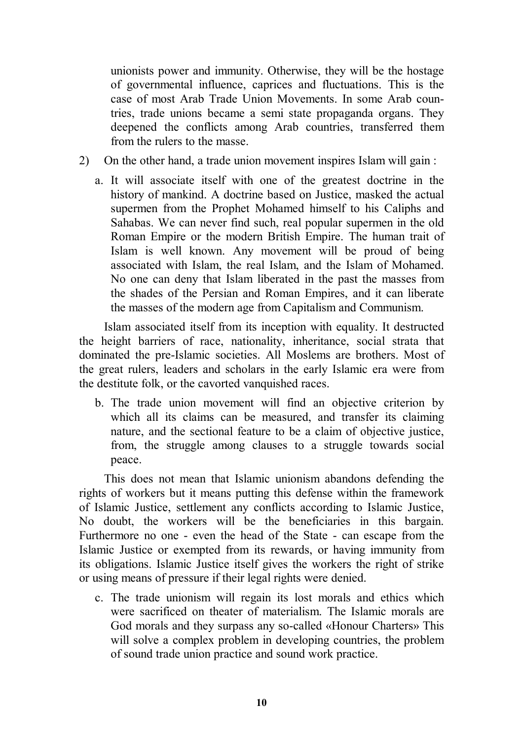unionists power and immunity. Otherwise, they will be the hostage of governmental influence, caprices and fluctuations. This is the case of most Arab Trade Union Movements. In some Arab countries, trade unions became a semi state propaganda organs. They deepened the conflicts among Arab countries, transferred them from the rulers to the masse.

- 2) On the other hand, a trade union movement inspires Islam will gain :
	- a. It will associate itself with one of the greatest doctrine in the history of mankind. A doctrine based on Justice, masked the actual supermen from the Prophet Mohamed himself to his Caliphs and Sahabas. We can never find such, real popular supermen in the old Roman Empire or the modern British Empire. The human trait of Islam is well known. Any movement will be proud of being associated with Islam, the real Islam, and the Islam of Mohamed. No one can deny that Islam liberated in the past the masses from the shades of the Persian and Roman Empires, and it can liberate the masses of the modern age from Capitalism and Communism.

Islam associated itself from its inception with equality. It destructed the height barriers of race, nationality, inheritance, social strata that dominated the pre-Islamic societies. All Moslems are brothers. Most of the great rulers, leaders and scholars in the early Islamic era were from the destitute folk, or the cavorted vanquished races.

b. The trade union movement will find an objective criterion by which all its claims can be measured, and transfer its claiming nature, and the sectional feature to be a claim of objective justice, from, the struggle among clauses to a struggle towards social peace.

This does not mean that Islamic unionism abandons defending the rights of workers but it means putting this defense within the framework of Islamic Justice, settlement any conflicts according to Islamic Justice, No doubt, the workers will be the beneficiaries in this bargain. Furthermore no one - even the head of the State - can escape from the Islamic Justice or exempted from its rewards, or having immunity from its obligations. Islamic Justice itself gives the workers the right of strike or using means of pressure if their legal rights were denied.

c. The trade unionism will regain its lost morals and ethics which were sacrificed on theater of materialism. The Islamic morals are God morals and they surpass any so-called «Honour Charters» This will solve a complex problem in developing countries, the problem of sound trade union practice and sound work practice.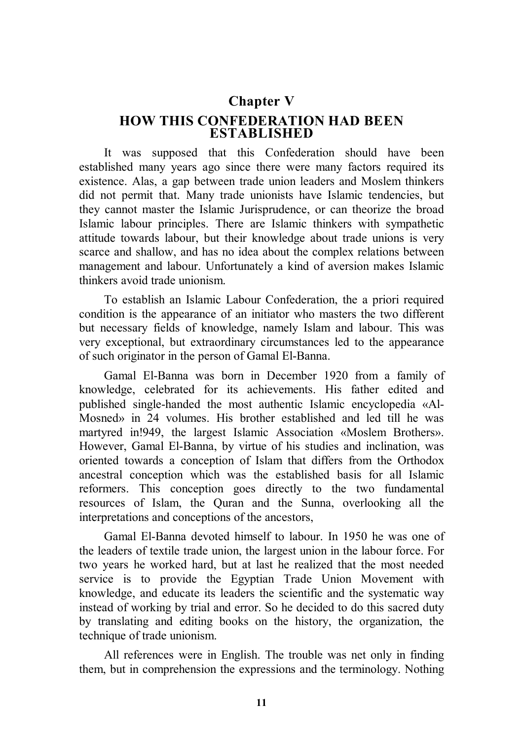# **Chapter V**

**HOW THIS CONFEDERATION HAD BEEN ESTABLISHED**

It was supposed that this Confederation should have been established many years ago since there were many factors required its existence. Alas, a gap between trade union leaders and Moslem thinkers did not permit that. Many trade unionists have Islamic tendencies, but they cannot master the Islamic Jurisprudence, or can theorize the broad Islamic labour principles. There are Islamic thinkers with sympathetic attitude towards labour, but their knowledge about trade unions is very scarce and shallow, and has no idea about the complex relations between management and labour. Unfortunately a kind of aversion makes Islamic thinkers avoid trade unionism.

To establish an Islamic Labour Confederation, the a priori required condition is the appearance of an initiator who masters the two different but necessary fields of knowledge, namely Islam and labour. This was very exceptional, but extraordinary circumstances led to the appearance of such originator in the person of Gamal El-Banna.

Gamal El-Banna was born in December 1920 from a family of knowledge, celebrated for its achievements. His father edited and published single-handed the most authentic Islamic encyclopedia «Al-Mosned» in 24 volumes. His brother established and led till he was martyred in!949, the largest Islamic Association «Moslem Brothers». However, Gamal El-Banna, by virtue of his studies and inclination, was oriented towards a conception of Islam that differs from the Orthodox ancestral conception which was the established basis for all Islamic reformers. This conception goes directly to the two fundamental resources of Islam, the Quran and the Sunna, overlooking all the interpretations and conceptions of the ancestors,

Gamal El-Banna devoted himself to labour. In 1950 he was one of the leaders of textile trade union, the largest union in the labour force. For two years he worked hard, but at last he realized that the most needed service is to provide the Egyptian Trade Union Movement with knowledge, and educate its leaders the scientific and the systematic way instead of working by trial and error. So he decided to do this sacred duty by translating and editing books on the history, the organization, the technique of trade unionism.

All references were in English. The trouble was net only in finding them, but in comprehension the expressions and the terminology. Nothing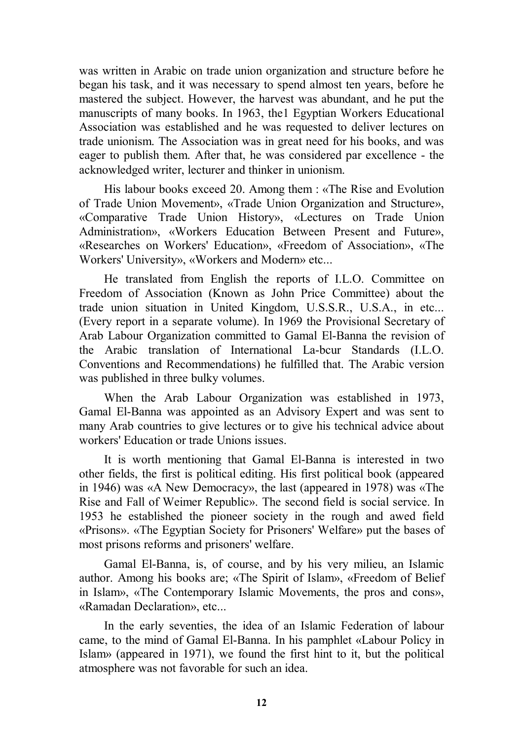was written in Arabic on trade union organization and structure before he began his task, and it was necessary to spend almost ten years, before he mastered the subject. However, the harvest was abundant, and he put the manuscripts of many books. In 1963, the1 Egyptian Workers Educational Association was established and he was requested to deliver lectures on trade unionism. The Association was in great need for his books, and was eager to publish them. After that, he was considered par excellence - the acknowledged writer, lecturer and thinker in unionism.

His labour books exceed 20. Among them : «The Rise and Evolution of Trade Union Movement», «Trade Union Organization and Structure», «Comparative Trade Union History», «Lectures on Trade Union Administration», «Workers Education Between Present and Future», «Researches on Workers' Education», «Freedom of Association», «The Workers' University», «Workers and Modern» etc...

He translated from English the reports of I.L.O. Committee on Freedom of Association (Known as John Price Committee) about the trade union situation in United Kingdom, U.S.S.R., U.S.A., in etc... (Every report in a separate volume). In 1969 the Provisional Secretary of Arab Labour Organization committed to Gamal El-Banna the revision of the Arabic translation of International La-bcur Standards (I.L.O. Conventions and Recommendations) he fulfilled that. The Arabic version was published in three bulky volumes.

When the Arab Labour Organization was established in 1973, Gamal El-Banna was appointed as an Advisory Expert and was sent to many Arab countries to give lectures or to give his technical advice about workers' Education or trade Unions issues.

It is worth mentioning that Gamal El-Banna is interested in two other fields, the first is political editing. His first political book (appeared in 1946) was «A New Democracy», the last (appeared in 1978) was «The Rise and Fall of Weimer Republic». The second field is social service. In 1953 he established the pioneer society in the rough and awed field «Prisons». «The Egyptian Society for Prisoners' Welfare» put the bases of most prisons reforms and prisoners' welfare.

Gamal El-Banna, is, of course, and by his very milieu, an Islamic author. Among his books are; «The Spirit of Islam», «Freedom of Belief in Islam», «The Contemporary Islamic Movements, the pros and cons», «Ramadan Declaration», etc...

In the early seventies, the idea of an Islamic Federation of labour came, to the mind of Gamal El-Banna. In his pamphlet «Labour Policy in Islam» (appeared in 1971), we found the first hint to it, but the political atmosphere was not favorable for such an idea.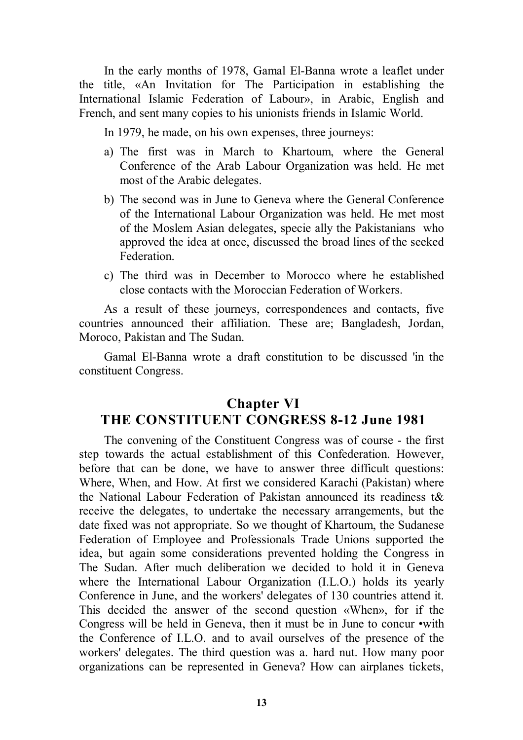In the early months of 1978, Gamal El-Banna wrote a leaflet under the title, «An Invitation for The Participation in establishing the International Islamic Federation of Labour», in Arabic, English and French, and sent many copies to his unionists friends in Islamic World.

In 1979, he made, on his own expenses, three journeys:

- a) The first was in March to Khartoum, where the General Conference of the Arab Labour Organization was held. He met most of the Arabic delegates.
- b) The second was in June to Geneva where the General Conference of the International Labour Organization was held. He met most of the Moslem Asian delegates, specie ally the Pakistanians who approved the idea at once, discussed the broad lines of the seeked Federation.
- c) The third was in December to Morocco where he established close contacts with the Moroccian Federation of Workers.

As a result of these journeys, correspondences and contacts, five countries announced their affiliation. These are; Bangladesh, Jordan, Moroco, Pakistan and The Sudan.

Gamal El-Banna wrote a draft constitution to be discussed 'in the constituent Congress.

### **Chapter VI THE CONSTITUENT CONGRESS 8-12 June 1981**

The convening of the Constituent Congress was of course - the first step towards the actual establishment of this Confederation. However, before that can be done, we have to answer three difficult questions: Where, When, and How. At first we considered Karachi (Pakistan) where the National Labour Federation of Pakistan announced its readiness t& receive the delegates, to undertake the necessary arrangements, but the date fixed was not appropriate. So we thought of Khartoum, the Sudanese Federation of Employee and Professionals Trade Unions supported the idea, but again some considerations prevented holding the Congress in The Sudan. After much deliberation we decided to hold it in Geneva where the International Labour Organization (I.L.O.) holds its yearly Conference in June, and the workers' delegates of 130 countries attend it. This decided the answer of the second question «When», for if the Congress will be held in Geneva, then it must be in June to concur •with the Conference of I.L.O. and to avail ourselves of the presence of the workers' delegates. The third question was a. hard nut. How many poor organizations can be represented in Geneva? How can airplanes tickets,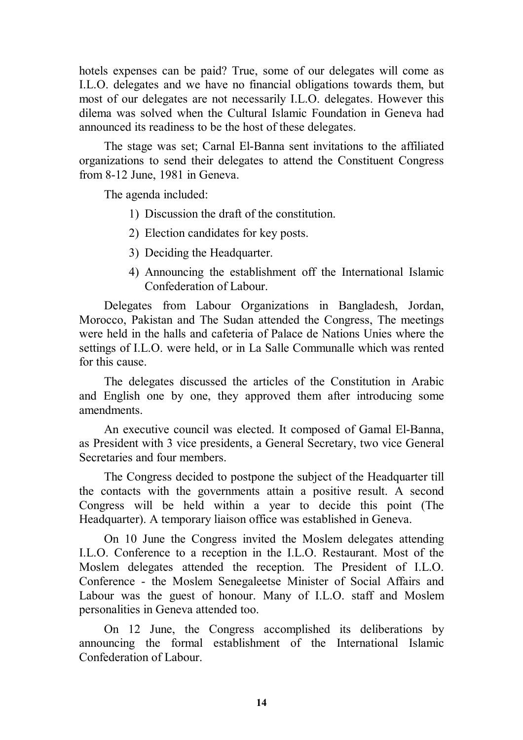hotels expenses can be paid? True, some of our delegates will come as I.L.O. delegates and we have no financial obligations towards them, but most of our delegates are not necessarily I.L.O. delegates. However this dilema was solved when the Cultural Islamic Foundation in Geneva had announced its readiness to be the host of these delegates.

The stage was set; Carnal El-Banna sent invitations to the affiliated organizations to send their delegates to attend the Constituent Congress from 8-12 June, 1981 in Geneva.

The agenda included:

- 1) Discussion the draft of the constitution.
- 2) Election candidates for key posts.
- 3) Deciding the Headquarter.
- 4) Announcing the establishment off the International Islamic Confederation of Labour.

Delegates from Labour Organizations in Bangladesh, Jordan, Morocco, Pakistan and The Sudan attended the Congress, The meetings were held in the halls and cafeteria of Palace de Nations Unies where the settings of I.L.O. were held, or in La Salle Communalle which was rented for this cause.

The delegates discussed the articles of the Constitution in Arabic and English one by one, they approved them after introducing some amendments.

An executive council was elected. It composed of Gamal El-Banna, as President with 3 vice presidents, a General Secretary, two vice General Secretaries and four members.

The Congress decided to postpone the subject of the Headquarter till the contacts with the governments attain a positive result. A second Congress will be held within a year to decide this point (The Headquarter). A temporary liaison office was established in Geneva.

On 10 June the Congress invited the Moslem delegates attending I.L.O. Conference to a reception in the I.L.O. Restaurant. Most of the Moslem delegates attended the reception. The President of I.L.O. Conference - the Moslem Senegaleetse Minister of Social Affairs and Labour was the guest of honour. Many of I.L.O. staff and Moslem personalities in Geneva attended too.

On 12 June, the Congress accomplished its deliberations by announcing the formal establishment of the International Islamic Confederation of Labour.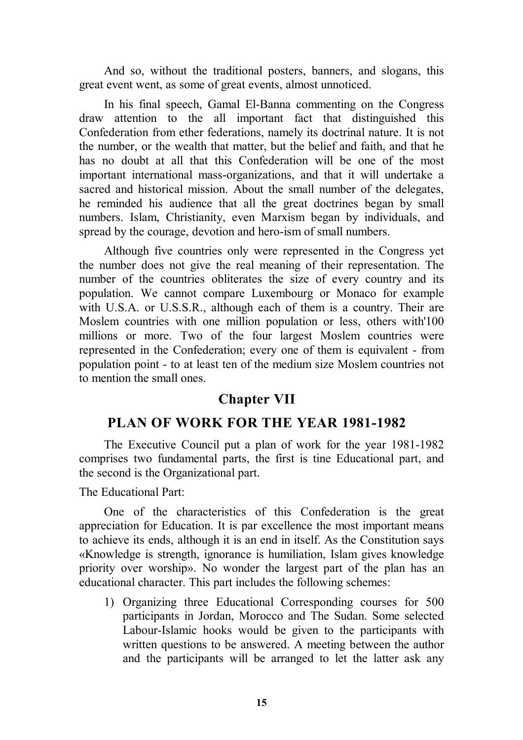And so, without the traditional posters, banners, and slogans, this great event went, as some of great events, almost unnoticed.

In his final speech, Gamal El-Banna commenting on the Congress draw attention to the all important fact that distinguished this Confederation from ether federations, namely its doctrinal nature. It is not the number, or the wealth that matter, but the belief and faith, and that he has no doubt at all that this Confederation will be one of the most important international mass-organizations, and that it will undertake a sacred and historical mission. About the small number of the delegates, he reminded his audience that all the great doctrines began by small numbers. Islam, Christianity, even Marxism began by individuals, and spread by the courage, devotion and hero-ism of small numbers.

Although five countries only were represented in the Congress yet the number does not give the real meaning of their representation. The number of the countries obliterates the size of every country and its population. We cannot compare Luxembourg or Monaco for example with U.S.A. or U.S.S.R., although each of them is a country. Their are Moslem countries with one million population or less, others with'100 millions or more. Two of the four largest Moslem countries were represented in the Confederation; every one of them is equivalent - from population point - to at least ten of the medium size Moslem countries not to mention the small ones.

### **Chapter VII**

### **PLAN OF WORK FOR THE YEAR 1981-1982**

The Executive Council put a plan of work for the year 1981-1982 comprises two fundamental parts, the first is tine Educational part, and the second is the Organizational part.

The Educational Part:

One of the characteristics of this Confederation is the great appreciation for Education. It is par excellence the most important means to achieve its ends, although it is an end in itself. As the Constitution says «Knowledge is strength, ignorance is humiliation, Islam gives knowledge priority over worship». No wonder the largest part of the plan has an educational character. This part includes the following schemes:

1) Organizing three Educational Corresponding courses for 500 participants in Jordan, Morocco and The Sudan. Some selected Labour-Islamic hooks would be given to the participants with written questions to be answered. A meeting between the author and the participants will be arranged to let the latter ask any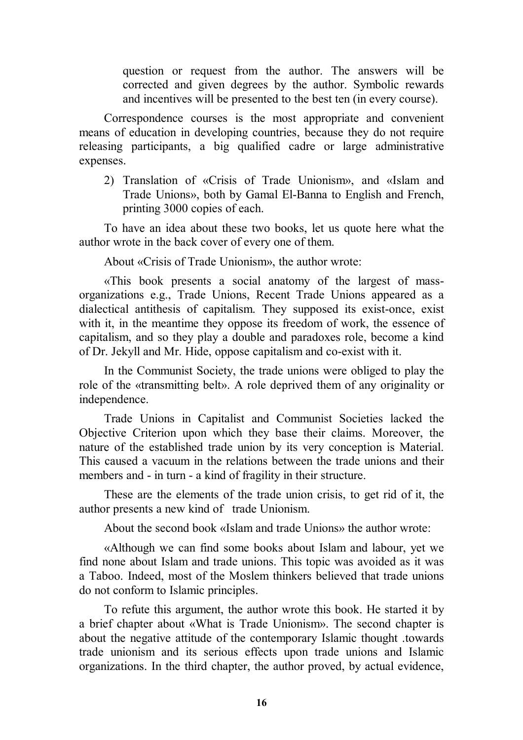question or request from the author. The answers will be corrected and given degrees by the author. Symbolic rewards and incentives will be presented to the best ten (in every course).

Correspondence courses is the most appropriate and convenient means of education in developing countries, because they do not require releasing participants, a big qualified cadre or large administrative expenses.

2) Translation of «Crisis of Trade Unionism», and «Islam and Trade Unions», both by Gamal El-Banna to English and French, printing 3000 copies of each.

To have an idea about these two books, let us quote here what the author wrote in the back cover of every one of them.

About «Crisis of Trade Unionism», the author wrote:

«This book presents a social anatomy of the largest of massorganizations e.g., Trade Unions, Recent Trade Unions appeared as a dialectical antithesis of capitalism. They supposed its exist-once, exist with it, in the meantime they oppose its freedom of work, the essence of capitalism, and so they play a double and paradoxes role, become a kind of Dr. Jekyll and Mr. Hide, oppose capitalism and co-exist with it.

In the Communist Society, the trade unions were obliged to play the role of the «transmitting belt». A role deprived them of any originality or independence.

Trade Unions in Capitalist and Communist Societies lacked the Objective Criterion upon which they base their claims. Moreover, the nature of the established trade union by its very conception is Material. This caused a vacuum in the relations between the trade unions and their members and - in turn - a kind of fragility in their structure.

These are the elements of the trade union crisis, to get rid of it, the author presents a new kind of trade Unionism.

About the second book «Islam and trade Unions» the author wrote:

«Although we can find some books about Islam and labour, yet we find none about Islam and trade unions. This topic was avoided as it was a Taboo. Indeed, most of the Moslem thinkers believed that trade unions do not conform to Islamic principles.

To refute this argument, the author wrote this book. He started it by a brief chapter about «What is Trade Unionism». The second chapter is about the negative attitude of the contemporary Islamic thought .towards trade unionism and its serious effects upon trade unions and Islamic organizations. In the third chapter, the author proved, by actual evidence,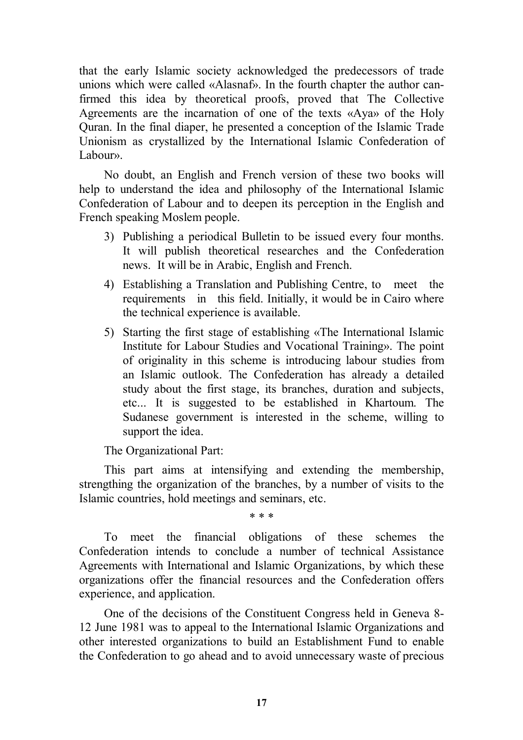that the early Islamic society acknowledged the predecessors of trade unions which were called «Alasnaf». In the fourth chapter the author canfirmed this idea by theoretical proofs, proved that The Collective Agreements are the incarnation of one of the texts «Aya» of the Holy Quran. In the final diaper, he presented a conception of the Islamic Trade Unionism as crystallized by the International Islamic Confederation of Labour».

No doubt, an English and French version of these two books will help to understand the idea and philosophy of the International Islamic Confederation of Labour and to deepen its perception in the English and French speaking Moslem people.

- 3) Publishing a periodical Bulletin to be issued every four months. It will publish theoretical researches and the Confederation news. It will be in Arabic, English and French.
- 4) Establishing a Translation and Publishing Centre, to meet the requirements in this field. Initially, it would be in Cairo where the technical experience is available.
- 5) Starting the first stage of establishing «The International Islamic Institute for Labour Studies and Vocational Training». The point of originality in this scheme is introducing labour studies from an Islamic outlook. The Confederation has already a detailed study about the first stage, its branches, duration and subjects, etc... It is suggested to be established in Khartoum. The Sudanese government is interested in the scheme, willing to support the idea.

The Organizational Part:

This part aims at intensifying and extending the membership, strengthing the organization of the branches, by a number of visits to the Islamic countries, hold meetings and seminars, etc.

\* \* \*

To meet the financial obligations of these schemes the Confederation intends to conclude a number of technical Assistance Agreements with International and Islamic Organizations, by which these organizations offer the financial resources and the Confederation offers experience, and application.

One of the decisions of the Constituent Congress held in Geneva 8- 12 June 1981 was to appeal to the International Islamic Organizations and other interested organizations to build an Establishment Fund to enable the Confederation to go ahead and to avoid unnecessary waste of precious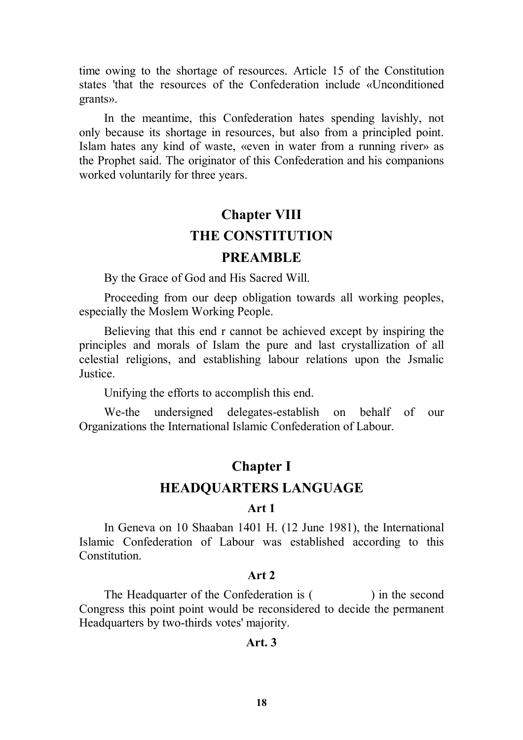time owing to the shortage of resources. Article 15 of the Constitution states 'that the resources of the Confederation include «Unconditioned grants».

In the meantime, this Confederation hates spending lavishly, not only because its shortage in resources, but also from a principled point. Islam hates any kind of waste, «even in water from a running river» as the Prophet said. The originator of this Confederation and his companions worked voluntarily for three years.

## **Chapter VIII THE CONSTITUTION PREAMBLE**

By the Grace of God and His Sacred Will.

Proceeding from our deep obligation towards all working peoples, especially the Moslem Working People.

Believing that this end r cannot be achieved except by inspiring the principles and morals of Islam the pure and last crystallization of all celestial religions, and establishing labour relations upon the Jsmalic Justice.

Unifying the efforts to accomplish this end.

We-the undersigned delegates-establish on behalf of our Organizations the International Islamic Confederation of Labour.

### **Chapter I**

### **HEADQUARTERS LANGUAGE**

### **Art 1**

In Geneva on 10 Shaaban 1401 H. (12 June 1981), the International Islamic Confederation of Labour was established according to this Constitution.

### **Art 2**

The Headquarter of the Confederation is () in the second Congress this point point would be reconsidered to decide the permanent Headquarters by two-thirds votes' majority.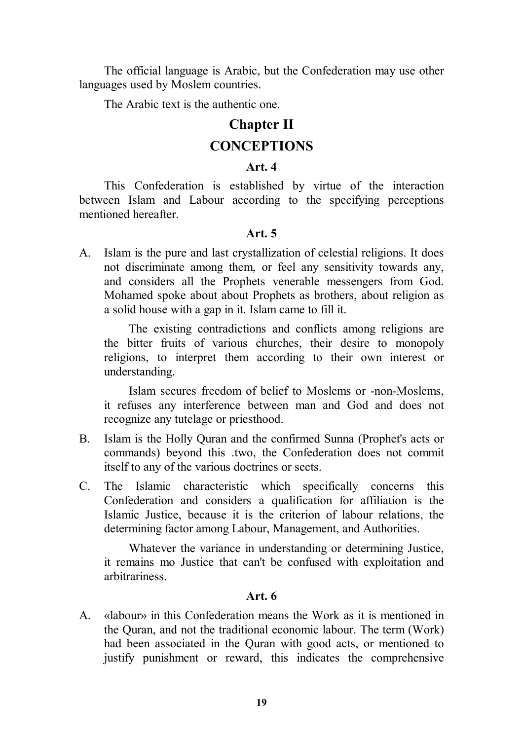The official language is Arabic, but the Confederation may use other languages used by Moslem countries.

The Arabic text is the authentic one.

### **Chapter II**

### **CONCEPTIONS**

### **Art. 4**

This Confederation is established by virtue of the interaction between Islam and Labour according to the specifying perceptions mentioned hereafter.

### **Art. 5**

A. Islam is the pure and last crystallization of celestial religions. It does not discriminate among them, or feel any sensitivity towards any, and considers all the Prophets venerable messengers from God. Mohamed spoke about about Prophets as brothers, about religion as a solid house with a gap in it. Islam came to fill it.

The existing contradictions and conflicts among religions are the bitter fruits of various churches, their desire to monopoly religions, to interpret them according to their own interest or understanding.

Islam secures freedom of belief to Moslems or -non-Moslems, it refuses any interference between man and God and does not recognize any tutelage or priesthood.

- B. Islam is the Holly Quran and the confirmed Sunna (Prophet's acts or commands) beyond this .two, the Confederation does not commit itself to any of the various doctrines or sects.
- C. The Islamic characteristic which specifically concerns this Confederation and considers a qualification for affiliation is the Islamic Justice, because it is the criterion of labour relations, the determining factor among Labour, Management, and Authorities.

Whatever the variance in understanding or determining Justice, it remains mo Justice that can't be confused with exploitation and arbitrariness.

### **Art. 6**

A. «labour» in this Confederation means the Work as it is mentioned in the Quran, and not the traditional economic labour. The term (Work) had been associated in the Quran with good acts, or mentioned to justify punishment or reward, this indicates the comprehensive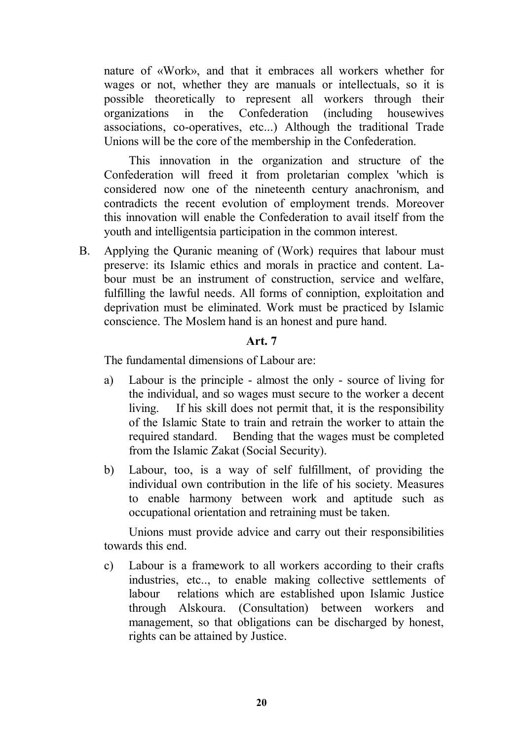nature of «Work», and that it embraces all workers whether for wages or not, whether they are manuals or intellectuals, so it is possible theoretically to represent all workers through their organizations in the Confederation (including housewives associations, co-operatives, etc...) Although the traditional Trade Unions will be the core of the membership in the Confederation.

This innovation in the organization and structure of the Confederation will freed it from proletarian complex 'which is considered now one of the nineteenth century anachronism, and contradicts the recent evolution of employment trends. Moreover this innovation will enable the Confederation to avail itself from the youth and intelligentsia participation in the common interest.

B. Applying the Quranic meaning of (Work) requires that labour must preserve: its Islamic ethics and morals in practice and content. Labour must be an instrument of construction, service and welfare, fulfilling the lawful needs. All forms of conniption, exploitation and deprivation must be eliminated. Work must be practiced by Islamic conscience. The Moslem hand is an honest and pure hand.

### **Art. 7**

The fundamental dimensions of Labour are:

- a) Labour is the principle almost the only source of living for the individual, and so wages must secure to the worker a decent living. If his skill does not permit that, it is the responsibility of the Islamic State to train and retrain the worker to attain the required standard. Bending that the wages must be completed from the Islamic Zakat (Social Security).
- b) Labour, too, is a way of self fulfillment, of providing the individual own contribution in the life of his society. Measures to enable harmony between work and aptitude such as occupational orientation and retraining must be taken.

Unions must provide advice and carry out their responsibilities towards this end.

c) Labour is a framework to all workers according to their crafts industries, etc.., to enable making collective settlements of labour relations which are established upon Islamic Justice through Alskoura. (Consultation) between workers and management, so that obligations can be discharged by honest, rights can be attained by Justice.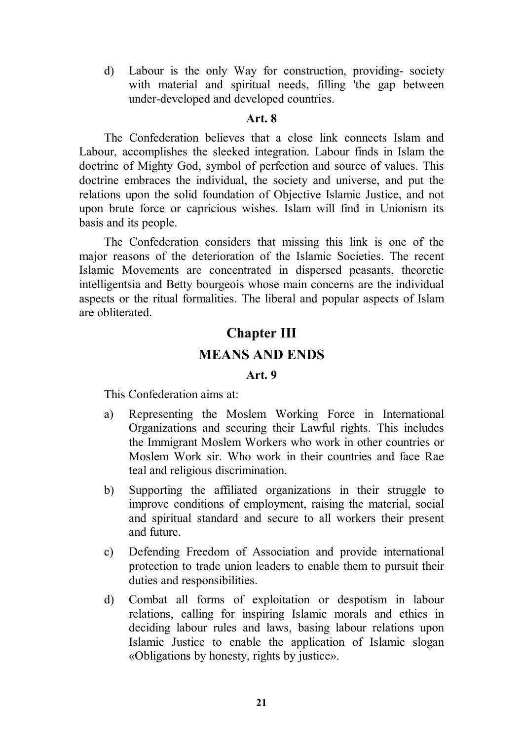d) Labour is the only Way for construction, providing- society with material and spiritual needs, filling 'the gap between under-developed and developed countries.

#### **Art. 8**

The Confederation believes that a close link connects Islam and Labour, accomplishes the sleeked integration. Labour finds in Islam the doctrine of Mighty God, symbol of perfection and source of values. This doctrine embraces the individual, the society and universe, and put the relations upon the solid foundation of Objective Islamic Justice, and not upon brute force or capricious wishes. Islam will find in Unionism its basis and its people.

The Confederation considers that missing this link is one of the major reasons of the deterioration of the Islamic Societies. The recent Islamic Movements are concentrated in dispersed peasants, theoretic intelligentsia and Betty bourgeois whose main concerns are the individual aspects or the ritual formalities. The liberal and popular aspects of Islam are obliterated.

# **Chapter III MEANS AND ENDS**

### **Art. 9**

This Confederation aims at:

- a) Representing the Moslem Working Force in International Organizations and securing their Lawful rights. This includes the Immigrant Moslem Workers who work in other countries or Moslem Work sir. Who work in their countries and face Rae teal and religious discrimination.
- b) Supporting the affiliated organizations in their struggle to improve conditions of employment, raising the material, social and spiritual standard and secure to all workers their present and future.
- c) Defending Freedom of Association and provide international protection to trade union leaders to enable them to pursuit their duties and responsibilities.
- d) Combat all forms of exploitation or despotism in labour relations, calling for inspiring Islamic morals and ethics in deciding labour rules and laws, basing labour relations upon Islamic Justice to enable the application of Islamic slogan «Obligations by honesty, rights by justice».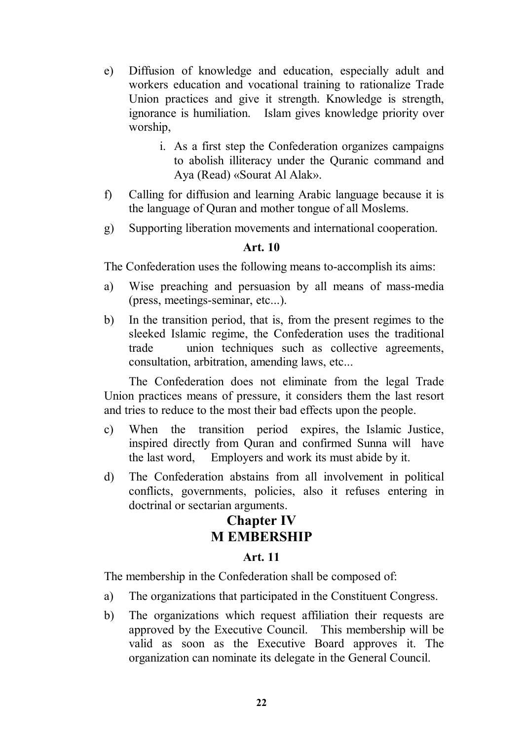- e) Diffusion of knowledge and education, especially adult and workers education and vocational training to rationalize Trade Union practices and give it strength. Knowledge is strength, ignorance is humiliation. Islam gives knowledge priority over worship,
	- i. As a first step the Confederation organizes campaigns to abolish illiteracy under the Quranic command and Aya (Read) «Sourat Al Alak».
- f) Calling for diffusion and learning Arabic language because it is the language of Quran and mother tongue of all Moslems.
- g) Supporting liberation movements and international cooperation.

### **Art. 10**

The Confederation uses the following means to-accomplish its aims:

- a) Wise preaching and persuasion by all means of mass-media (press, meetings-seminar, etc...).
- b) In the transition period, that is, from the present regimes to the sleeked Islamic regime, the Confederation uses the traditional trade union techniques such as collective agreements, consultation, arbitration, amending laws, etc...

The Confederation does not eliminate from the legal Trade Union practices means of pressure, it considers them the last resort and tries to reduce to the most their bad effects upon the people.

- c) When the transition period expires, the Islamic Justice, inspired directly from Quran and confirmed Sunna will have the last word, Employers and work its must abide by it.
- d) The Confederation abstains from all involvement in political conflicts, governments, policies, also it refuses entering in doctrinal or sectarian arguments.

### **Chapter IV M EMBERSHIP**

### **Art. 11**

The membership in the Confederation shall be composed of:

- a) The organizations that participated in the Constituent Congress.
- b) The organizations which request affiliation their requests are approved by the Executive Council. This membership will be valid as soon as the Executive Board approves it. The organization can nominate its delegate in the General Council.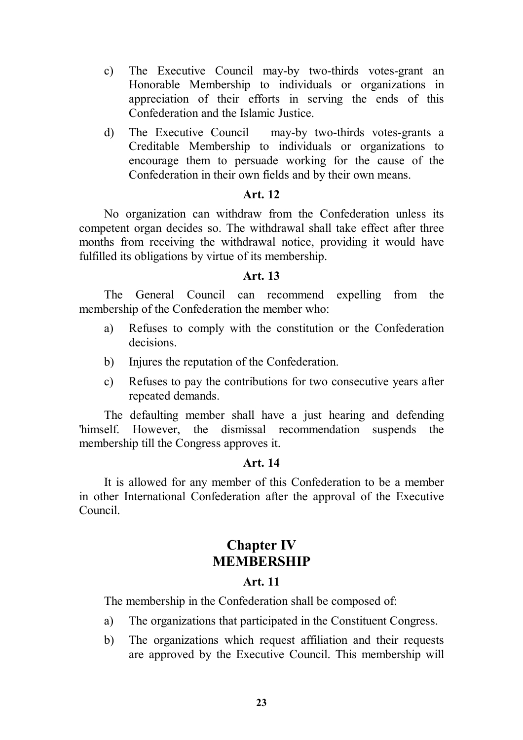- c) The Executive Council may-by two-thirds votes-grant an Honorable Membership to individuals or organizations in appreciation of their efforts in serving the ends of this Confederation and the Islamic Justice.
- d) The Executive Council may-by two-thirds votes-grants a Creditable Membership to individuals or organizations to encourage them to persuade working for the cause of the Confederation in their own fields and by their own means.

### **Art. 12**

No organization can withdraw from the Confederation unless its competent organ decides so. The withdrawal shall take effect after three months from receiving the withdrawal notice, providing it would have fulfilled its obligations by virtue of its membership.

### **Art. 13**

The General Council can recommend expelling from the membership of the Confederation the member who:

- a) Refuses to comply with the constitution or the Confederation decisions.
- b) Injures the reputation of the Confederation.
- c) Refuses to pay the contributions for two consecutive years after repeated demands.

The defaulting member shall have a just hearing and defending 'himself. However, the dismissal recommendation suspends the membership till the Congress approves it.

#### **Art. 14**

It is allowed for any member of this Confederation to be a member in other International Confederation after the approval of the Executive Council.

### **Chapter IV MEMBERSHIP**

### **Art. 11**

The membership in the Confederation shall be composed of:

- a) The organizations that participated in the Constituent Congress.
- b) The organizations which request affiliation and their requests are approved by the Executive Council. This membership will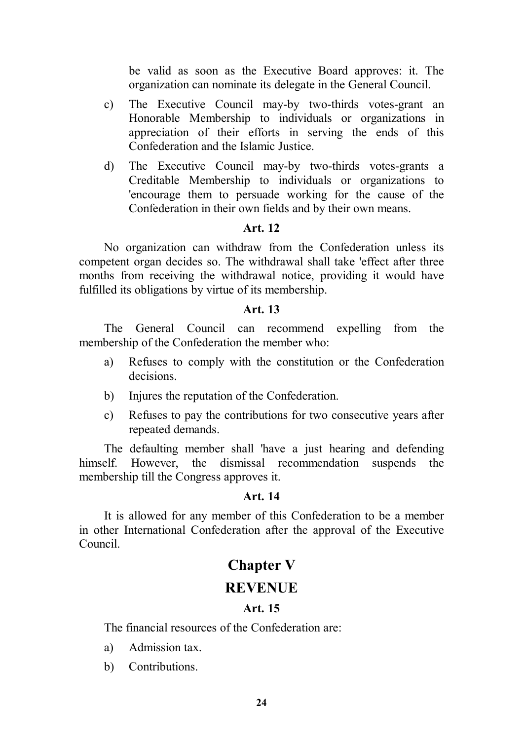be valid as soon as the Executive Board approves: it. The organization can nominate its delegate in the General Council.

- c) The Executive Council may-by two-thirds votes-grant an Honorable Membership to individuals or organizations in appreciation of their efforts in serving the ends of this Confederation and the Islamic Justice.
- d) The Executive Council may-by two-thirds votes-grants a Creditable Membership to individuals or organizations to 'encourage them to persuade working for the cause of the Confederation in their own fields and by their own means.

### **Art. 12**

No organization can withdraw from the Confederation unless its competent organ decides so. The withdrawal shall take 'effect after three months from receiving the withdrawal notice, providing it would have fulfilled its obligations by virtue of its membership.

### **Art. 13**

The General Council can recommend expelling from the membership of the Confederation the member who:

- a) Refuses to comply with the constitution or the Confederation decisions.
- b) Injures the reputation of the Confederation.
- c) Refuses to pay the contributions for two consecutive years after repeated demands.

The defaulting member shall 'have a just hearing and defending himself. However, the dismissal recommendation suspends the membership till the Congress approves it.

### **Art. 14**

It is allowed for any member of this Confederation to be a member in other International Confederation after the approval of the Executive Council.

### **Chapter V**

### **REVENUE**

### **Art. 15**

The financial resources of the Confederation are:

- a) Admission tax.
- b) Contributions.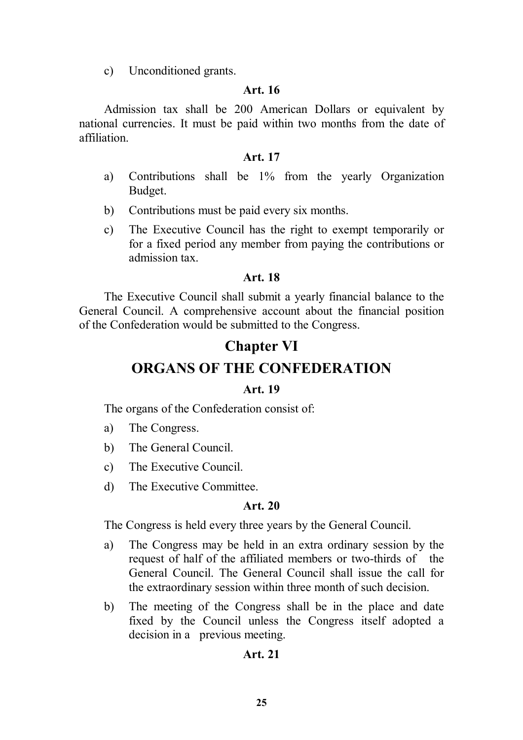c) Unconditioned grants.

### **Art. 16**

Admission tax shall be 200 American Dollars or equivalent by national currencies. It must be paid within two months from the date of affiliation.

### **Art. 17**

- a) Contributions shall be 1% from the yearly Organization Budget.
- b) Contributions must be paid every six months.
- c) The Executive Council has the right to exempt temporarily or for a fixed period any member from paying the contributions or admission tax.

### **Art. 18**

The Executive Council shall submit a yearly financial balance to the General Council. A comprehensive account about the financial position of the Confederation would be submitted to the Congress.

### **Chapter VI**

### **ORGANS OF THE CONFEDERATION**

### **Art. 19**

The organs of the Confederation consist of:

- a) The Congress.
- b) The General Council.
- c) The Executive Council.
- d) The Executive Committee.

### **Art. 20**

The Congress is held every three years by the General Council.

- a) The Congress may be held in an extra ordinary session by the request of half of the affiliated members or two-thirds of the General Council. The General Council shall issue the call for the extraordinary session within three month of such decision.
- b) The meeting of the Congress shall be in the place and date fixed by the Council unless the Congress itself adopted a decision in a previous meeting.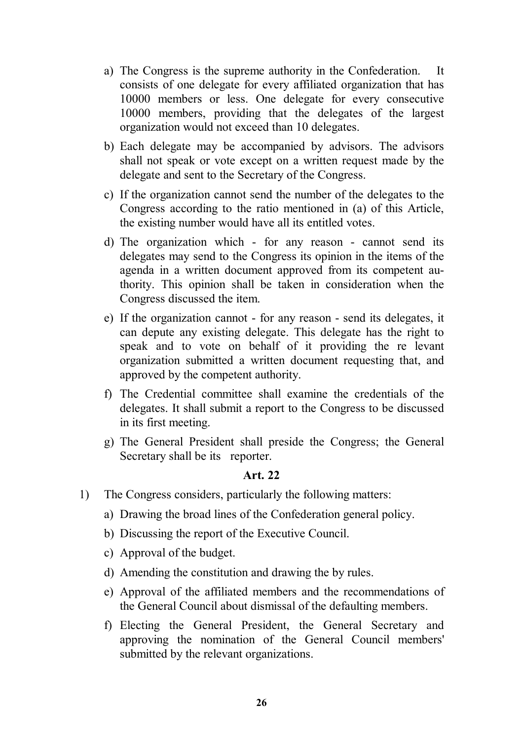- a) The Congress is the supreme authority in the Confederation. It consists of one delegate for every affiliated organization that has 10000 members or less. One delegate for every consecutive 10000 members, providing that the delegates of the largest organization would not exceed than 10 delegates.
- b) Each delegate may be accompanied by advisors. The advisors shall not speak or vote except on a written request made by the delegate and sent to the Secretary of the Congress.
- c) If the organization cannot send the number of the delegates to the Congress according to the ratio mentioned in (a) of this Article, the existing number would have all its entitled votes.
- d) The organization which for any reason cannot send its delegates may send to the Congress its opinion in the items of the agenda in a written document approved from its competent authority. This opinion shall be taken in consideration when the Congress discussed the item.
- e) If the organization cannot for any reason send its delegates, it can depute any existing delegate. This delegate has the right to speak and to vote on behalf of it providing the re levant organization submitted a written document requesting that, and approved by the competent authority.
- f) The Credential committee shall examine the credentials of the delegates. It shall submit a report to the Congress to be discussed in its first meeting.
- g) The General President shall preside the Congress; the General Secretary shall be its reporter.

- 1) The Congress considers, particularly the following matters:
	- a) Drawing the broad lines of the Confederation general policy.
	- b) Discussing the report of the Executive Council.
	- c) Approval of the budget.
	- d) Amending the constitution and drawing the by rules.
	- e) Approval of the affiliated members and the recommendations of the General Council about dismissal of the defaulting members.
	- f) Electing the General President, the General Secretary and approving the nomination of the General Council members' submitted by the relevant organizations.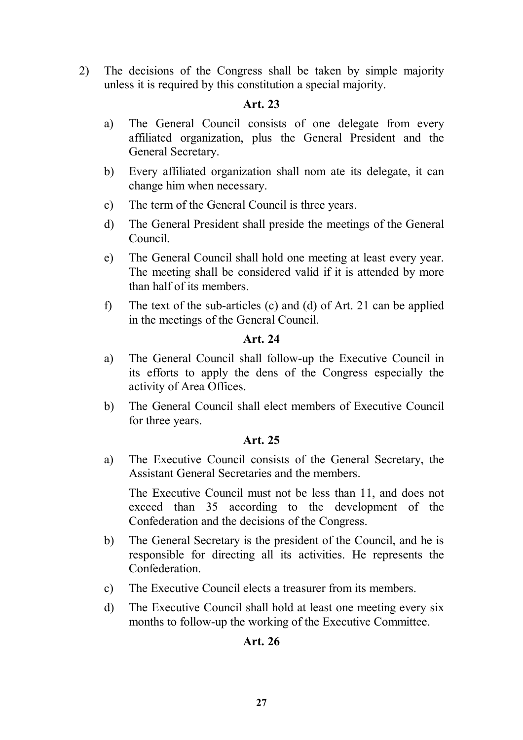2) The decisions of the Congress shall be taken by simple majority unless it is required by this constitution a special majority.

### **Art. 23**

- a) The General Council consists of one delegate from every affiliated organization, plus the General President and the General Secretary.
- b) Every affiliated organization shall nom ate its delegate, it can change him when necessary.
- c) The term of the General Council is three years.
- d) The General President shall preside the meetings of the General Council.
- e) The General Council shall hold one meeting at least every year. The meeting shall be considered valid if it is attended by more than half of its members.
- f) The text of the sub-articles (c) and (d) of Art. 21 can be applied in the meetings of the General Council.

### **Art. 24**

- a) The General Council shall follow-up the Executive Council in its efforts to apply the dens of the Congress especially the activity of Area Offices.
- b) The General Council shall elect members of Executive Council for three years.

### **Art. 25**

a) The Executive Council consists of the General Secretary, the Assistant General Secretaries and the members.

The Executive Council must not be less than 11, and does not exceed than 35 according to the development of the Confederation and the decisions of the Congress.

- b) The General Secretary is the president of the Council, and he is responsible for directing all its activities. He represents the Confederation.
- c) The Executive Council elects a treasurer from its members.
- d) The Executive Council shall hold at least one meeting every six months to follow-up the working of the Executive Committee.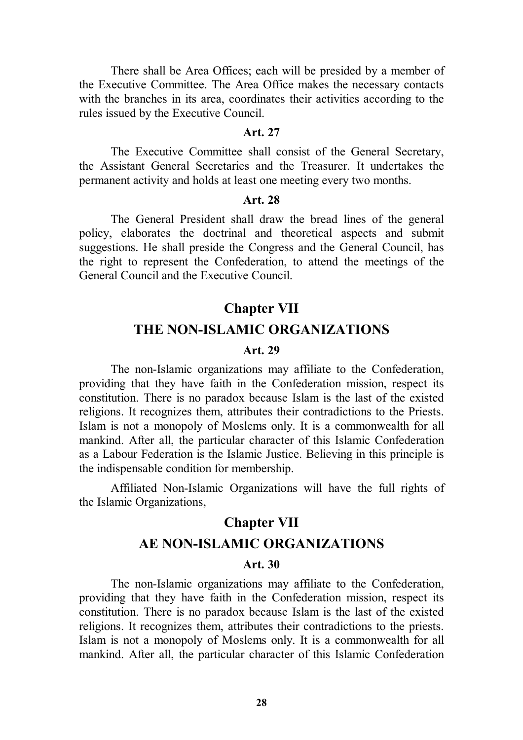There shall be Area Offices; each will be presided by a member of the Executive Committee. The Area Office makes the necessary contacts with the branches in its area, coordinates their activities according to the rules issued by the Executive Council.

### **Art. 27**

The Executive Committee shall consist of the General Secretary, the Assistant General Secretaries and the Treasurer. It undertakes the permanent activity and holds at least one meeting every two months.

### **Art. 28**

The General President shall draw the bread lines of the general policy, elaborates the doctrinal and theoretical aspects and submit suggestions. He shall preside the Congress and the General Council, has the right to represent the Confederation, to attend the meetings of the General Council and the Executive Council.

# **Chapter VII THE NON-ISLAMIC ORGANIZATIONS**

### **Art. 29**

The non-Islamic organizations may affiliate to the Confederation, providing that they have faith in the Confederation mission, respect its constitution. There is no paradox because Islam is the last of the existed religions. It recognizes them, attributes their contradictions to the Priests. Islam is not a monopoly of Moslems only. It is a commonwealth for all mankind. After all, the particular character of this Islamic Confederation as a Labour Federation is the Islamic Justice. Believing in this principle is the indispensable condition for membership.

Affiliated Non-Islamic Organizations will have the full rights of the Islamic Organizations,

### **Chapter VII AE NON-ISLAMIC ORGANIZATIONS**

#### **Art. 30**

The non-Islamic organizations may affiliate to the Confederation, providing that they have faith in the Confederation mission, respect its constitution. There is no paradox because Islam is the last of the existed religions. It recognizes them, attributes their contradictions to the priests. Islam is not a monopoly of Moslems only. It is a commonwealth for all mankind. After all, the particular character of this Islamic Confederation